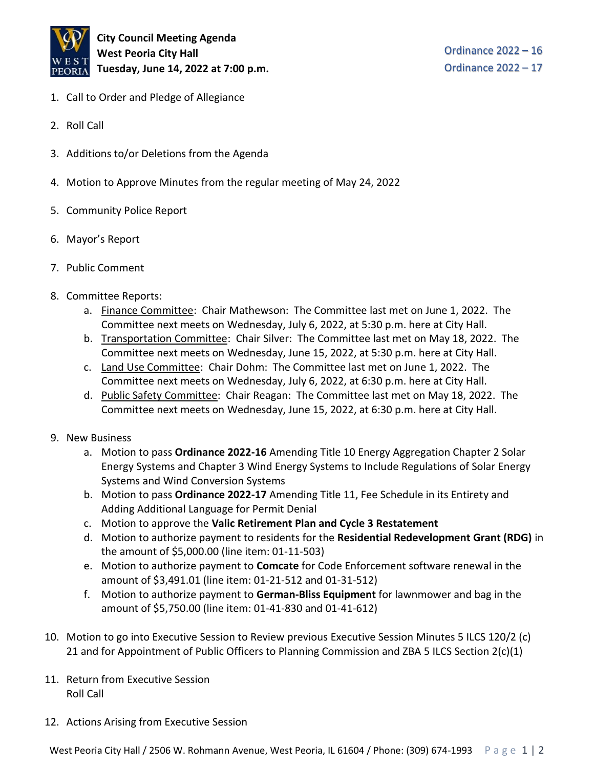

**City Council Meeting Agenda West Peoria City Hall Tuesday, June 14, 2022 at 7:00 p.m.**

Ordinance 2022 – 16 Ordinance 2022 – 17

- 1. Call to Order and Pledge of Allegiance
- 2. Roll Call
- 3. Additions to/or Deletions from the Agenda
- 4. Motion to Approve Minutes from the regular meeting of May 24, 2022
- 5. Community Police Report
- 6. Mayor's Report
- 7. Public Comment
- 8. Committee Reports:
	- a. Finance Committee: Chair Mathewson: The Committee last met on June 1, 2022. The Committee next meets on Wednesday, July 6, 2022, at 5:30 p.m. here at City Hall.
	- b. Transportation Committee: Chair Silver: The Committee last met on May 18, 2022. The Committee next meets on Wednesday, June 15, 2022, at 5:30 p.m. here at City Hall.
	- c. Land Use Committee: Chair Dohm: The Committee last met on June 1, 2022. The Committee next meets on Wednesday, July 6, 2022, at 6:30 p.m. here at City Hall.
	- d. Public Safety Committee: Chair Reagan: The Committee last met on May 18, 2022. The Committee next meets on Wednesday, June 15, 2022, at 6:30 p.m. here at City Hall.
- 9. New Business
	- a. Motion to pass **Ordinance 2022-16** Amending Title 10 Energy Aggregation Chapter 2 Solar Energy Systems and Chapter 3 Wind Energy Systems to Include Regulations of Solar Energy Systems and Wind Conversion Systems
	- b. Motion to pass **Ordinance 2022-17** Amending Title 11, Fee Schedule in its Entirety and Adding Additional Language for Permit Denial
	- c. Motion to approve the **Valic Retirement Plan and Cycle 3 Restatement**
	- d. Motion to authorize payment to residents for the **Residential Redevelopment Grant (RDG)** in the amount of \$5,000.00 (line item: 01-11-503)
	- e. Motion to authorize payment to **Comcate** for Code Enforcement software renewal in the amount of \$3,491.01 (line item: 01-21-512 and 01-31-512)
	- f. Motion to authorize payment to **German-Bliss Equipment** for lawnmower and bag in the amount of \$5,750.00 (line item: 01-41-830 and 01-41-612)
- 10. Motion to go into Executive Session to Review previous Executive Session Minutes 5 ILCS 120/2 (c) 21 and for Appointment of Public Officers to Planning Commission and ZBA 5 ILCS Section 2(c)(1)
- 11. Return from Executive Session Roll Call
- 12. Actions Arising from Executive Session